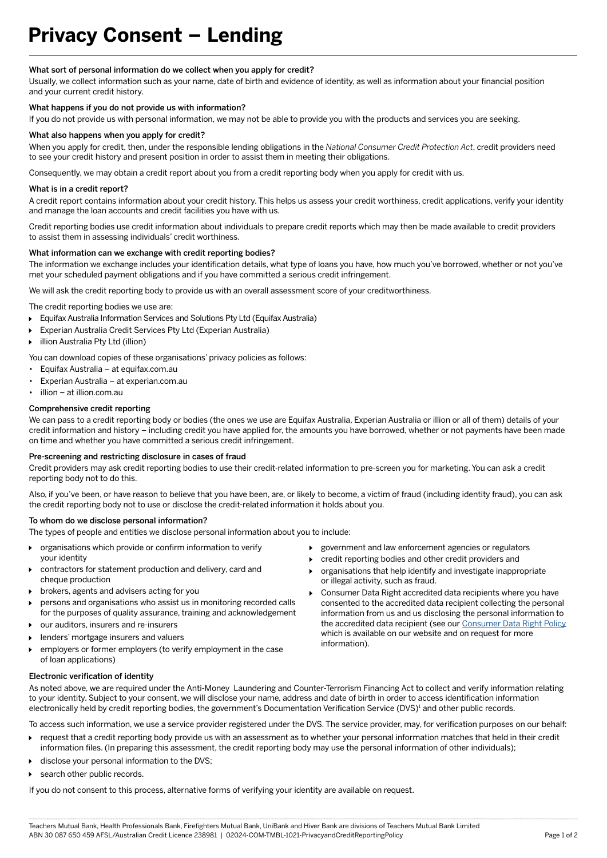# **Privacy Consent – Lending**

# What sort of personal information do we collect when you apply for credit?

Usually, we collect information such as your name, date of birth and evidence of identity, as well as information about your financial position and your current credit history.

# What happens if you do not provide us with information?

If you do not provide us with personal information, we may not be able to provide you with the products and services you are seeking.

### What also happens when you apply for credit?

When you apply for credit, then, under the responsible lending obligations in the *National Consumer Credit Protection Act*, credit providers need to see your credit history and present position in order to assist them in meeting their obligations.

Consequently, we may obtain a credit report about you from a credit reporting body when you apply for credit with us.

## What is in a credit report?

A credit report contains information about your credit history. This helps us assess your credit worthiness, credit applications, verify your identity and manage the loan accounts and credit facilities you have with us.

Credit reporting bodies use credit information about individuals to prepare credit reports which may then be made available to credit providers to assist them in assessing individuals' credit worthiness.

# What information can we exchange with credit reporting bodies?

The information we exchange includes your identification details, what type of loans you have, how much you've borrowed, whether or not you've met your scheduled payment obligations and if you have committed a serious credit infringement.

We will ask the credit reporting body to provide us with an overall assessment score of your creditworthiness.

The credit reporting bodies we use are:

- Equifax Australia Information Services and Solutions Pty Ltd (Equifax Australia)
- Experian Australia Credit Services Pty Ltd (Experian Australia)
- illion Australia Pty Ltd (illion)
- You can download copies of these organisations' privacy policies as follows:
- Equifax Australia at equifax.com.au
- Experian Australia at experian.com.au
- illion at illion.com.au

# Comprehensive credit reporting

We can pass to a credit reporting body or bodies (the ones we use are Equifax Australia, Experian Australia or illion or all of them) details of your credit information and history – including credit you have applied for, the amounts you have borrowed, whether or not payments have been made on time and whether you have committed a serious credit infringement.

#### Pre-screening and restricting disclosure in cases of fraud

Credit providers may ask credit reporting bodies to use their credit-related information to pre-screen you for marketing. You can ask a credit reporting body not to do this.

Also, if you've been, or have reason to believe that you have been, are, or likely to become, a victim of fraud (including identity fraud), you can ask the credit reporting body not to use or disclose the credit-related information it holds about you.

## To whom do we disclose personal information?

The types of people and entities we disclose personal information about you to include:

- organisations which provide or confirm information to verify your identity
- contractors for statement production and delivery, card and cheque production
- brokers, agents and advisers acting for you
- persons and organisations who assist us in monitoring recorded calls for the purposes of quality assurance, training and acknowledgement
- our auditors, insurers and re-insurers ь
- lenders' mortgage insurers and valuers
- employers or former employers (to verify employment in the case of loan applications)
- government and law enforcement agencies or regulators
- credit reporting bodies and other credit providers and
- organisations that help identify and investigate inappropriate or illegal activity, such as fraud.
- Consumer Data Right accredited data recipients where you have consented to the accredited data recipient collecting the personal information from us and us disclosing the personal information to the accredited data recipient (see our Consumer Data Right Policy which is available on our website and on request for more information).

## Electronic verification of identity

As noted above, we are required under the Anti-Money Laundering and Counter-Terrorism Financing Act to collect and verify information relating to your identity. Subject to your consent, we will disclose your name, address and date of birth in order to access identification information electronically held by credit reporting bodies, the government's Documentation Verification Service (DVS)<sup>1</sup> and other public records.

To access such information, we use a service provider registered under the DVS. The service provider, may, for verification purposes on our behalf:

- request that a credit reporting body provide us with an assessment as to whether your personal information matches that held in their credit information files. (In preparing this assessment, the credit reporting body may use the personal information of other individuals);
- $\ddot{\phantom{1}}$ disclose your personal information to the DVS;
- search other public records.

If you do not consent to this process, alternative forms of verifying your identity are available on request.